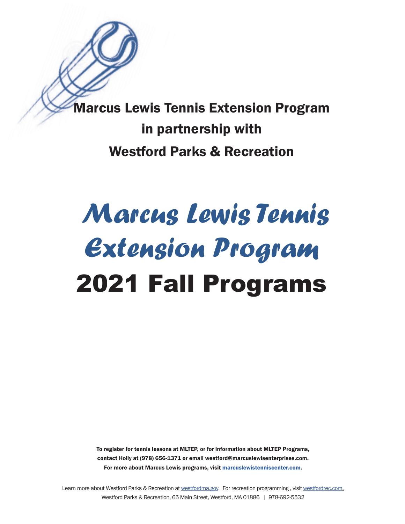Marcus Lewis Tennis Extension Program in partnership with Westford Parks & Recreation

# *Marcus Lewis Tennis Extension Program*  2021 Fall Programs

To register for tennis lessons at MLTEP, or for information about MLTEP Programs, contact Holly at (978) 656-1371 or email westford@marcuslewisenterprises.com. For more about Marcus Lewis programs, visit [marcuslewistenniscenter.com.](http://marcuslewistenniscenter.com)

Learn more about [Westford Parks & Recreation a](https://www.westfordma.gov/268/Parks-Recreation-Department)t [westfordma.gov](http://westfordma.gov). For recreation programming, visit [westfordrec.com.](http://westfordrec.com) Westford Parks & Recreation, 65 Main Street, Westford, MA 01886 | 978-692-5532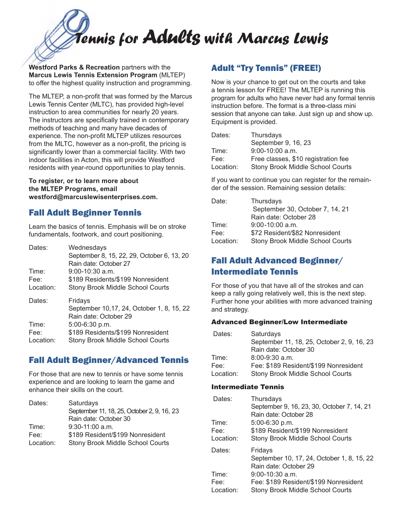*Tennis for Adults with Marcus Lewis*

**Westford Parks & Recreation** partners with the **Marcus Lewis Tennis Extension Program** (MLTEP) to offer the highest quality instruction and programming.

The MLTEP, a non-profit that was formed by the Marcus Lewis Tennis Center (MLTC), has provided high-level instruction to area communities for nearly 20 years. The instructors are specifically trained in contemporary methods of teaching and many have decades of experience. The non-profit MLTEP utilizes resources from the MLTC, however as a non-profit, the pricing is significantly lower than a commercial facility. With two indoor facilities in Acton, this will provide Westford residents with year-round opportunities to play tennis.

**To register, or to learn more about the MLTEP Programs, email westford@marcuslewisenterprises.com.** 

# Fall Adult Beginner Tennis

Learn the basics of tennis. Emphasis will be on stroke fundamentals, footwork, and court positioning.

| Dates:<br>Time: | Wednesdays<br>September 8, 15, 22, 29, October 6, 13, 20<br>Rain date: October 27<br>$9:00-10:30$ a.m. |
|-----------------|--------------------------------------------------------------------------------------------------------|
| Fee:            | \$189 Residents/\$199 Nonresident                                                                      |
| Location:       | <b>Stony Brook Middle School Courts</b>                                                                |
| Dates:          | Fridays<br>September 10,17, 24, October 1, 8, 15, 22<br>Rain date: October 29                          |
| Time:           | 5:00-6:30 p.m.                                                                                         |
| Fee:            | \$189 Residents/\$199 Nonresident                                                                      |
| Location:       | <b>Stony Brook Middle School Courts</b>                                                                |

# Fall Adult Beginner/Advanced Tennis

For those that are new to tennis or have some tennis experience and are looking to learn the game and enhance their skills on the court.

| Dates:    | Saturdays                                  |
|-----------|--------------------------------------------|
|           | September 11, 18, 25, October 2, 9, 16, 23 |
|           | Rain date: October 30                      |
| Time:     | $9:30-11:00$ a.m.                          |
| Fee:      | \$189 Resident/\$199 Nonresident           |
| Location: | <b>Stony Brook Middle School Courts</b>    |

# Adult "Try Tennis" (FREE!)

Now is your chance to get out on the courts and take a tennis lesson for FREE! The MLTEP is running this program for adults who have never had any formal tennis instruction before. The format is a three-class mini session that anyone can take. Just sign up and show up. Equipment is provided.

| Dates:    | Thursdays                               |
|-----------|-----------------------------------------|
|           | September 9, 16, 23                     |
| Time:     | 9:00-10:00 a.m.                         |
| Fee:      | Free classes, \$10 registration fee     |
| Location: | <b>Stony Brook Middle School Courts</b> |

If you want to continue you can register for the remainder of the session. Remaining session details:

| Date:     | Thursdays                               |
|-----------|-----------------------------------------|
|           | September 30, October 7, 14, 21         |
|           | Rain date: October 28                   |
| Time:     | $9:00 - 10:00$ a.m.                     |
| Fee:      | \$72 Resident/\$82 Nonresident          |
| Location: | <b>Stony Brook Middle School Courts</b> |

# Fall Adult Advanced Beginner/ Intermediate Tennis

For those of you that have all of the strokes and can keep a rally going relatively well, this is the next step. Further hone your abilities with more advanced training and strategy.

## Advanced Beginner/Low Intermediate

| Dates:    | Saturdays                                  |
|-----------|--------------------------------------------|
|           | September 11, 18, 25, October 2, 9, 16, 23 |
|           | Rain date: October 30                      |
| Time:     | $8:00 - 9:30$ a.m.                         |
| Fee:      | Fee: \$189 Resident/\$199 Nonresident      |
| Location: | <b>Stony Brook Middle School Courts</b>    |

#### Intermediate Tennis

| Dates:<br>Time:<br>Fee:<br>Location: | Thursdays<br>September 9, 16, 23, 30, October 7, 14, 21<br>Rain date: October 28<br>5:00-6:30 p.m.<br>\$189 Resident/\$199 Nonresident<br><b>Stony Brook Middle School Courts</b>       |
|--------------------------------------|-----------------------------------------------------------------------------------------------------------------------------------------------------------------------------------------|
| Dates:<br>Time:<br>Fee:<br>Location: | Fridays<br>September 10, 17, 24, October 1, 8, 15, 22<br>Rain date: October 29<br>$9:00-10:30$ a.m.<br>Fee: \$189 Resident/\$199 Nonresident<br><b>Stony Brook Middle School Courts</b> |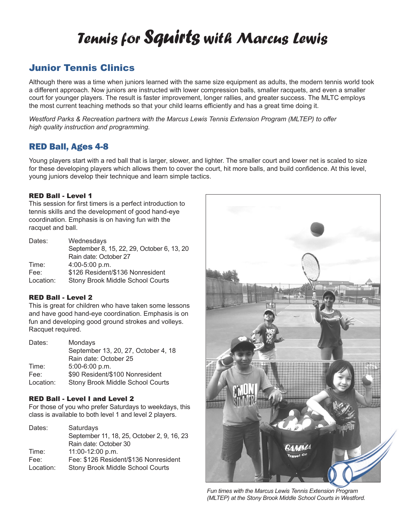# *Tennis for Squirts with Marcus Lewis*

# Junior Tennis Clinics

Although there was a time when juniors learned with the same size equipment as adults, the modern tennis world took a different approach. Now juniors are instructed with lower compression balls, smaller racquets, and even a smaller court for younger players. The result is faster improvement, longer rallies, and greater success. The MLTC employs the most current teaching methods so that your child learns efficiently and has a great time doing it.

*Westford Parks & Recreation partners with the Marcus Lewis Tennis Extension Program (MLTEP) to offer high quality instruction and programming.*

# RED Ball, Ages 4-8

Young players start with a red ball that is larger, slower, and lighter. The smaller court and lower net is scaled to size for these developing players which allows them to cover the court, hit more balls, and build confidence. At this level, young juniors develop their technique and learn simple tactics.

#### RED Ball - Level 1

This session for first timers is a perfect introduction to tennis skills and the development of good hand-eye coordination. Emphasis is on having fun with the racquet and ball.

| Dates:    | Wednesdays                                 |
|-----------|--------------------------------------------|
|           | September 8, 15, 22, 29, October 6, 13, 20 |
|           | Rain date: October 27                      |
| Time:     | 4:00-5:00 p.m.                             |
| Fee:      | \$126 Resident/\$136 Nonresident           |
| Location: | <b>Stony Brook Middle School Courts</b>    |

#### RED Ball - Level 2

This is great for children who have taken some lessons and have good hand-eye coordination. Emphasis is on fun and developing good ground strokes and volleys. Racquet required.

| Dates:    | Mondays                                 |
|-----------|-----------------------------------------|
|           | September 13, 20, 27, October 4, 18     |
|           | Rain date: October 25                   |
| Time:     | 5:00-6:00 p.m.                          |
| Fee:      | \$90 Resident/\$100 Nonresident         |
| Location: | <b>Stony Brook Middle School Courts</b> |

## RED Ball - Level I and Level 2

For those of you who prefer Saturdays to weekdays, this class is available to both level 1 and level 2 players.

| Dates:    | Saturdays                                  |
|-----------|--------------------------------------------|
|           | September 11, 18, 25, October 2, 9, 16, 23 |
|           | Rain date: October 30                      |
| Time:     | 11:00-12:00 p.m.                           |
| Fee:      | Fee: \$126 Resident/\$136 Nonresident      |
| Location: | <b>Stony Brook Middle School Courts</b>    |



*Fun times with the Marcus Lewis Tennis Extension Program (MLTEP) at the Stony Brook Middle School Courts in Westford.*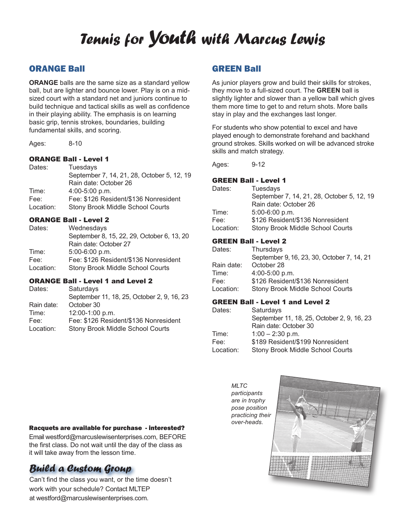# *Tennis for Youth with Marcus Lewis*

# ORANGE Ball

**ORANGE** balls are the same size as a standard yellow ball, but are lighter and bounce lower. Play is on a midsized court with a standard net and juniors continue to build technique and tactical skills as well as confidence in their playing ability. The emphasis is on learning basic grip, tennis strokes, boundaries, building fundamental skills, and scoring.

Ages: 8-10

#### ORANGE Ball - Level 1

| Dates:    | Tuesdays                                   |
|-----------|--------------------------------------------|
|           | September 7, 14, 21, 28, October 5, 12, 19 |
|           | Rain date: October 26                      |
| Time:     | $4:00-5:00$ p.m.                           |
| Fee:      | Fee: \$126 Resident/\$136 Nonresident      |
| Location: | <b>Stony Brook Middle School Courts</b>    |
|           |                                            |

#### ORANGE Ball - Level 2

| Wednesdays                                 |
|--------------------------------------------|
| September 8, 15, 22, 29, October 6, 13, 20 |
| Rain date: October 27                      |
| 5:00-6:00 p.m.                             |
| Fee: \$126 Resident/\$136 Nonresident      |
| <b>Stony Brook Middle School Courts</b>    |
|                                            |

#### ORANGE Ball - Level 1 and Level 2

| Dates:     | Saturdays                                  |
|------------|--------------------------------------------|
|            | September 11, 18, 25, October 2, 9, 16, 23 |
| Rain date: | October 30                                 |
| Time:      | 12:00-1:00 p.m.                            |
| Fee:       | Fee: \$126 Resident/\$136 Nonresident      |
| Location:  | <b>Stony Brook Middle School Courts</b>    |

# GREEN Ball

As junior players grow and build their skills for strokes, they move to a full-sized court. The **GREEN** ball is slightly lighter and slower than a yellow ball which gives them more time to get to and return shots. More balls stay in play and the exchanges last longer.

For students who show potential to excel and have played enough to demonstrate forehand and backhand ground strokes. Skills worked on will be advanced stroke skills and match strategy.

Ages: 9-12

# GREEN Ball - Level 1

| Dates:    | Tuesdays                                   |
|-----------|--------------------------------------------|
|           | September 7, 14, 21, 28, October 5, 12, 19 |
|           | Rain date: October 26                      |
| Time:     | $5:00-6:00 p.m.$                           |
| Fee:      | \$126 Resident/\$136 Nonresident           |
| Location: | <b>Stony Brook Middle School Courts</b>    |
|           |                                            |

#### GREEN Ball - Level 2

| Dates:     | Thursdays                                  |
|------------|--------------------------------------------|
|            | September 9, 16, 23, 30, October 7, 14, 21 |
| Rain date: | October 28                                 |
| Time:      | 4:00-5:00 p.m.                             |
| Fee:       | \$126 Resident/\$136 Nonresident           |
| Location:  | <b>Stony Brook Middle School Courts</b>    |

#### GREEN Ball - Level 1 and Level 2

| Dates:    | Saturdays                                  |
|-----------|--------------------------------------------|
|           | September 11, 18, 25, October 2, 9, 16, 23 |
|           | Rain date: October 30                      |
| Time:     | $1:00 - 2:30$ p.m.                         |
| Fee:      | \$189 Resident/\$199 Nonresident           |
| Location: | <b>Stony Brook Middle School Courts</b>    |

*MLTC participants are in trophy pose position practicing their over-heads.*



#### Racquets are available for purchase - interested?

Email westford@marcuslewisenterprises.com, BEFORE the first class. Do not wait until the day of the class as it will take away from the lesson time.

# *Build a Custom Group*

Can't find the class you want, or the time doesn't work with your schedule? Contact MLTEP at westford@marcuslewisenterprises.com.